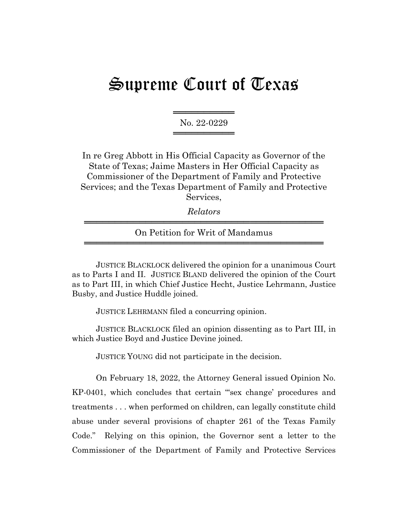## Supreme Court of Texas

═══════════════════ No. 22-0229 ═════════════════

In re Greg Abbott in His Official Capacity as Governor of the State of Texas; Jaime Masters in Her Official Capacity as Commissioner of the Department of Family and Protective Services; and the Texas Department of Family and Protective Services,

*Relators* ═══════════════════════════════════════

On Petition for Writ of Mandamus ═══════════════════════════════════════

JUSTICE BLACKLOCK delivered the opinion for a unanimous Court as to Parts I and II. JUSTICE BLAND delivered the opinion of the Court as to Part III, in which Chief Justice Hecht, Justice Lehrmann, Justice Busby, and Justice Huddle joined.

JUSTICE LEHRMANN filed a concurring opinion.

JUSTICE BLACKLOCK filed an opinion dissenting as to Part III, in which Justice Boyd and Justice Devine joined.

JUSTICE YOUNG did not participate in the decision.

On February 18, 2022, the Attorney General issued Opinion No. KP-0401, which concludes that certain "'sex change' procedures and treatments . . . when performed on children, can legally constitute child abuse under several provisions of chapter 261 of the Texas Family Code." Relying on this opinion, the Governor sent a letter to the Commissioner of the Department of Family and Protective Services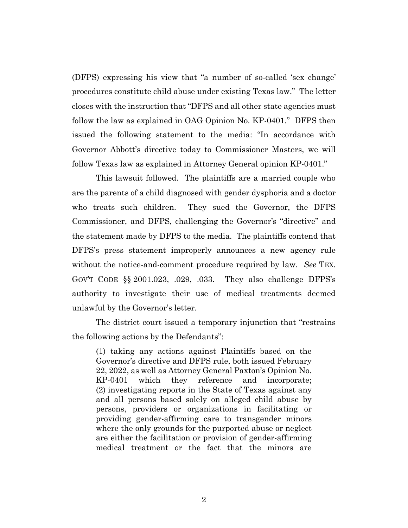(DFPS) expressing his view that "a number of so-called 'sex change' procedures constitute child abuse under existing Texas law." The letter closes with the instruction that "DFPS and all other state agencies must follow the law as explained in OAG Opinion No. KP-0401." DFPS then issued the following statement to the media: "In accordance with Governor Abbott's directive today to Commissioner Masters, we will follow Texas law as explained in Attorney General opinion KP-0401."

This lawsuit followed. The plaintiffs are a married couple who are the parents of a child diagnosed with gender dysphoria and a doctor who treats such children. They sued the Governor, the DFPS Commissioner, and DFPS, challenging the Governor's "directive" and the statement made by DFPS to the media. The plaintiffs contend that DFPS's press statement improperly announces a new agency rule without the notice-and-comment procedure required by law. *See* TEX. GOV'T CODE §§ 2001.023, .029, .033. They also challenge DFPS's authority to investigate their use of medical treatments deemed unlawful by the Governor's letter.

The district court issued a temporary injunction that "restrains the following actions by the Defendants":

(1) taking any actions against Plaintiffs based on the Governor's directive and DFPS rule, both issued February 22, 2022, as well as Attorney General Paxton's Opinion No. KP-0401 which they reference and incorporate; (2) investigating reports in the State of Texas against any and all persons based solely on alleged child abuse by persons, providers or organizations in facilitating or providing gender-affirming care to transgender minors where the only grounds for the purported abuse or neglect are either the facilitation or provision of gender-affirming medical treatment or the fact that the minors are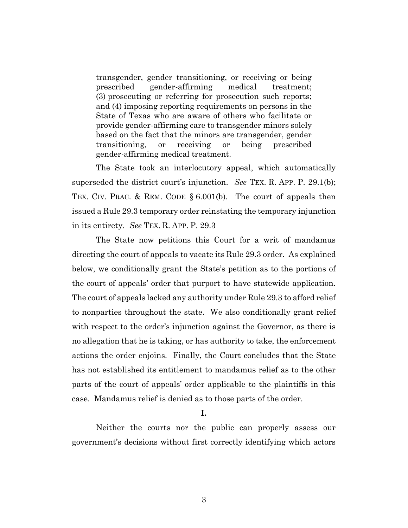transgender, gender transitioning, or receiving or being prescribed gender-affirming medical treatment; (3) prosecuting or referring for prosecution such reports; and (4) imposing reporting requirements on persons in the State of Texas who are aware of others who facilitate or provide gender-affirming care to transgender minors solely based on the fact that the minors are transgender, gender transitioning, or receiving or being prescribed gender-affirming medical treatment.

The State took an interlocutory appeal, which automatically superseded the district court's injunction. *See* TEX. R. APP. P. 29.1(b); TEX. CIV. PRAC. & REM. CODE § 6.001(b). The court of appeals then issued a Rule 29.3 temporary order reinstating the temporary injunction in its entirety. *See* TEX. R. APP. P. 29.3

The State now petitions this Court for a writ of mandamus directing the court of appeals to vacate its Rule 29.3 order. As explained below, we conditionally grant the State's petition as to the portions of the court of appeals' order that purport to have statewide application. The court of appeals lacked any authority under Rule 29.3 to afford relief to nonparties throughout the state. We also conditionally grant relief with respect to the order's injunction against the Governor, as there is no allegation that he is taking, or has authority to take, the enforcement actions the order enjoins. Finally, the Court concludes that the State has not established its entitlement to mandamus relief as to the other parts of the court of appeals' order applicable to the plaintiffs in this case. Mandamus relief is denied as to those parts of the order.

## **I.**

Neither the courts nor the public can properly assess our government's decisions without first correctly identifying which actors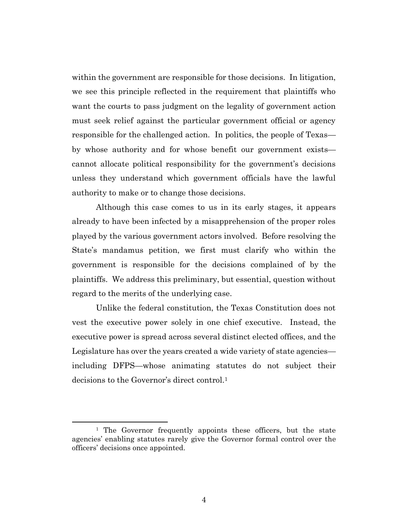within the government are responsible for those decisions. In litigation, we see this principle reflected in the requirement that plaintiffs who want the courts to pass judgment on the legality of government action must seek relief against the particular government official or agency responsible for the challenged action. In politics, the people of Texas by whose authority and for whose benefit our government exists cannot allocate political responsibility for the government's decisions unless they understand which government officials have the lawful authority to make or to change those decisions.

Although this case comes to us in its early stages, it appears already to have been infected by a misapprehension of the proper roles played by the various government actors involved. Before resolving the State's mandamus petition, we first must clarify who within the government is responsible for the decisions complained of by the plaintiffs. We address this preliminary, but essential, question without regard to the merits of the underlying case.

Unlike the federal constitution, the Texas Constitution does not vest the executive power solely in one chief executive. Instead, the executive power is spread across several distinct elected offices, and the Legislature has over the years created a wide variety of state agencies including DFPS—whose animating statutes do not subject their decisions to the Governor's direct control.<sup>1</sup>

<sup>&</sup>lt;sup>1</sup> The Governor frequently appoints these officers, but the state agencies' enabling statutes rarely give the Governor formal control over the officers' decisions once appointed.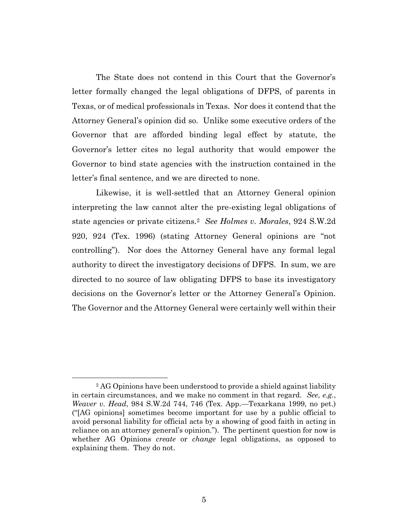The State does not contend in this Court that the Governor's letter formally changed the legal obligations of DFPS, of parents in Texas, or of medical professionals in Texas. Nor does it contend that the Attorney General's opinion did so. Unlike some executive orders of the Governor that are afforded binding legal effect by statute, the Governor's letter cites no legal authority that would empower the Governor to bind state agencies with the instruction contained in the letter's final sentence, and we are directed to none.

Likewise, it is well-settled that an Attorney General opinion interpreting the law cannot alter the pre-existing legal obligations of state agencies or private citizens.<sup>2</sup> *See Holmes v. Morales*, 924 S.W.2d 920, 924 (Tex. 1996) (stating Attorney General opinions are "not controlling"). Nor does the Attorney General have any formal legal authority to direct the investigatory decisions of DFPS. In sum, we are directed to no source of law obligating DFPS to base its investigatory decisions on the Governor's letter or the Attorney General's Opinion. The Governor and the Attorney General were certainly well within their

<sup>2</sup> AG Opinions have been understood to provide a shield against liability in certain circumstances, and we make no comment in that regard. *See, e.g.*, *Weaver v. Head*, 984 S.W.2d 744, 746 (Tex. App.—Texarkana 1999, no pet.) ("[AG opinions] sometimes become important for use by a public official to avoid personal liability for official acts by a showing of good faith in acting in reliance on an attorney general's opinion."). The pertinent question for now is whether AG Opinions *create* or *change* legal obligations, as opposed to explaining them. They do not.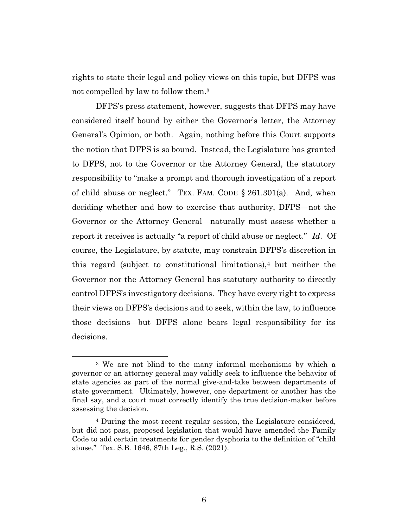rights to state their legal and policy views on this topic, but DFPS was not compelled by law to follow them.<sup>3</sup>

DFPS's press statement, however, suggests that DFPS may have considered itself bound by either the Governor's letter, the Attorney General's Opinion, or both. Again, nothing before this Court supports the notion that DFPS is so bound. Instead, the Legislature has granted to DFPS, not to the Governor or the Attorney General, the statutory responsibility to "make a prompt and thorough investigation of a report of child abuse or neglect." TEX. FAM. CODE § 261.301(a). And, when deciding whether and how to exercise that authority, DFPS—not the Governor or the Attorney General—naturally must assess whether a report it receives is actually "a report of child abuse or neglect." *Id*. Of course, the Legislature, by statute, may constrain DFPS's discretion in this regard (subject to constitutional limitations),<sup>4</sup> but neither the Governor nor the Attorney General has statutory authority to directly control DFPS's investigatory decisions. They have every right to express their views on DFPS's decisions and to seek, within the law, to influence those decisions—but DFPS alone bears legal responsibility for its decisions.

<sup>3</sup> We are not blind to the many informal mechanisms by which a governor or an attorney general may validly seek to influence the behavior of state agencies as part of the normal give-and-take between departments of state government. Ultimately, however, one department or another has the final say, and a court must correctly identify the true decision-maker before assessing the decision.

<sup>4</sup> During the most recent regular session, the Legislature considered, but did not pass, proposed legislation that would have amended the Family Code to add certain treatments for gender dysphoria to the definition of "child abuse." Tex. S.B. 1646, 87th Leg., R.S. (2021).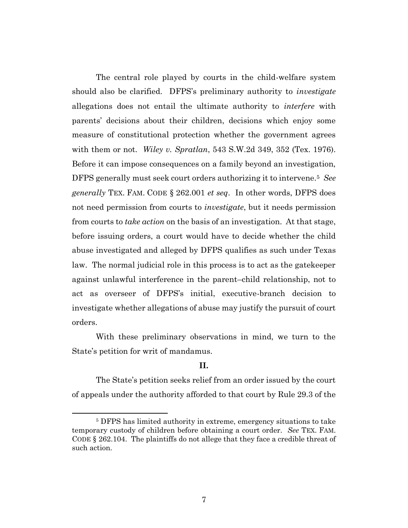The central role played by courts in the child-welfare system should also be clarified. DFPS's preliminary authority to *investigate* allegations does not entail the ultimate authority to *interfere* with parents' decisions about their children, decisions which enjoy some measure of constitutional protection whether the government agrees with them or not. *Wiley v. Spratlan*, 543 S.W.2d 349, 352 (Tex. 1976). Before it can impose consequences on a family beyond an investigation, DFPS generally must seek court orders authorizing it to intervene.<sup>5</sup> *See generally* TEX. FAM. CODE § 262.001 *et seq*. In other words, DFPS does not need permission from courts to *investigate*, but it needs permission from courts to *take action* on the basis of an investigation. At that stage, before issuing orders, a court would have to decide whether the child abuse investigated and alleged by DFPS qualifies as such under Texas law. The normal judicial role in this process is to act as the gatekeeper against unlawful interference in the parent–child relationship, not to act as overseer of DFPS's initial, executive-branch decision to investigate whether allegations of abuse may justify the pursuit of court orders.

With these preliminary observations in mind, we turn to the State's petition for writ of mandamus.

## **II.**

The State's petition seeks relief from an order issued by the court of appeals under the authority afforded to that court by Rule 29.3 of the

<sup>5</sup> DFPS has limited authority in extreme, emergency situations to take temporary custody of children before obtaining a court order. *See* TEX. FAM. CODE § 262.104. The plaintiffs do not allege that they face a credible threat of such action.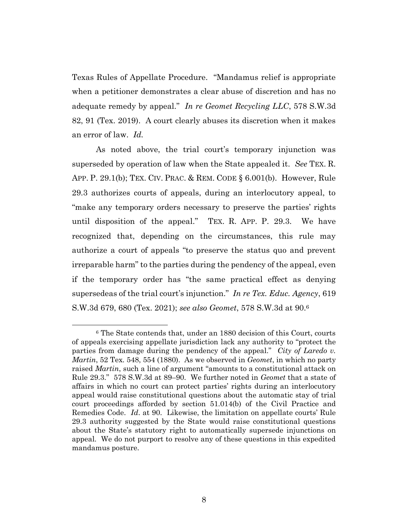Texas Rules of Appellate Procedure. "Mandamus relief is appropriate when a petitioner demonstrates a clear abuse of discretion and has no adequate remedy by appeal." *In re Geomet Recycling LLC*, 578 S.W.3d 82, 91 (Tex. 2019). A court clearly abuses its discretion when it makes an error of law. *Id.*

As noted above, the trial court's temporary injunction was superseded by operation of law when the State appealed it. *See* TEX. R. APP. P. 29.1(b); TEX. CIV. PRAC. & REM. CODE § 6.001(b). However, Rule 29.3 authorizes courts of appeals, during an interlocutory appeal, to "make any temporary orders necessary to preserve the parties' rights until disposition of the appeal." TEX. R. APP. P. 29.3. We have recognized that, depending on the circumstances, this rule may authorize a court of appeals "to preserve the status quo and prevent irreparable harm" to the parties during the pendency of the appeal, even if the temporary order has "the same practical effect as denying supersedeas of the trial court's injunction." *In re Tex. Educ. Agency*, 619 S.W.3d 679, 680 (Tex. 2021); *see also Geomet*, 578 S.W.3d at 90.<sup>6</sup>

<sup>6</sup> The State contends that, under an 1880 decision of this Court, courts of appeals exercising appellate jurisdiction lack any authority to "protect the parties from damage during the pendency of the appeal." *City of Laredo v. Martin*, 52 Tex. 548, 554 (1880). As we observed in *Geomet*, in which no party raised *Martin*, such a line of argument "amounts to a constitutional attack on Rule 29.3." 578 S.W.3d at 89–90. We further noted in *Geomet* that a state of affairs in which no court can protect parties' rights during an interlocutory appeal would raise constitutional questions about the automatic stay of trial court proceedings afforded by section 51.014(b) of the Civil Practice and Remedies Code. *Id*. at 90. Likewise, the limitation on appellate courts' Rule 29.3 authority suggested by the State would raise constitutional questions about the State's statutory right to automatically supersede injunctions on appeal. We do not purport to resolve any of these questions in this expedited mandamus posture.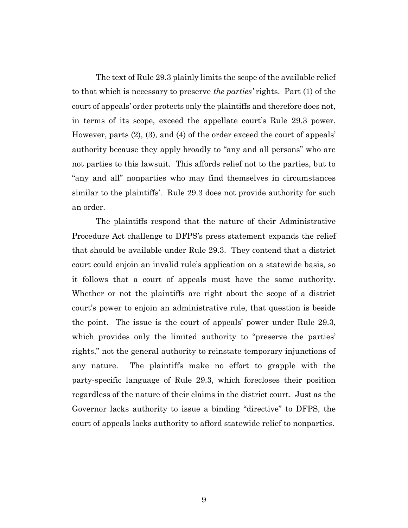The text of Rule 29.3 plainly limits the scope of the available relief to that which is necessary to preserve *the parties'* rights. Part (1) of the court of appeals' order protects only the plaintiffs and therefore does not, in terms of its scope, exceed the appellate court's Rule 29.3 power. However, parts (2), (3), and (4) of the order exceed the court of appeals' authority because they apply broadly to "any and all persons" who are not parties to this lawsuit. This affords relief not to the parties, but to "any and all" nonparties who may find themselves in circumstances similar to the plaintiffs'. Rule 29.3 does not provide authority for such an order.

The plaintiffs respond that the nature of their Administrative Procedure Act challenge to DFPS's press statement expands the relief that should be available under Rule 29.3. They contend that a district court could enjoin an invalid rule's application on a statewide basis, so it follows that a court of appeals must have the same authority. Whether or not the plaintiffs are right about the scope of a district court's power to enjoin an administrative rule, that question is beside the point. The issue is the court of appeals' power under Rule 29.3, which provides only the limited authority to "preserve the parties' rights," not the general authority to reinstate temporary injunctions of any nature. The plaintiffs make no effort to grapple with the party-specific language of Rule 29.3, which forecloses their position regardless of the nature of their claims in the district court. Just as the Governor lacks authority to issue a binding "directive" to DFPS, the court of appeals lacks authority to afford statewide relief to nonparties.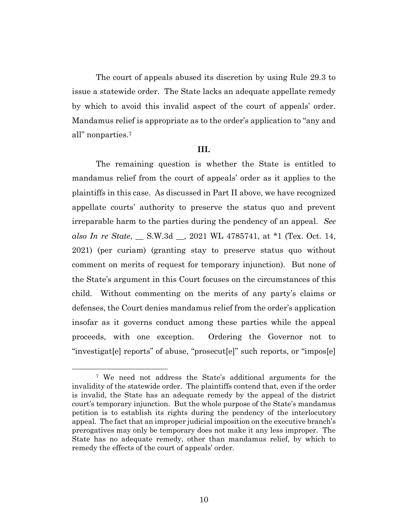The court of appeals abused its discretion by using Rule 29.3 to issue a statewide order. The State lacks an adequate appellate remedy by which to avoid this invalid aspect of the court of appeals' order. Mandamus relief is appropriate as to the order's application to "any and all" nonparties.<sup>7</sup>

## **III.**

The remaining question is whether the State is entitled to mandamus relief from the court of appeals' order as it applies to the plaintiffs in this case. As discussed in Part II above, we have recognized appellate courts' authority to preserve the status quo and prevent irreparable harm to the parties during the pendency of an appeal. *See also In re State*, \_\_ S.W.3d \_\_, 2021 WL 4785741, at \*1 (Tex. Oct. 14, 2021) (per curiam) (granting stay to preserve status quo without comment on merits of request for temporary injunction). But none of the State's argument in this Court focuses on the circumstances of this child. Without commenting on the merits of any party's claims or defenses, the Court denies mandamus relief from the order's application insofar as it governs conduct among these parties while the appeal proceeds, with one exception. Ordering the Governor not to "investigat[e] reports" of abuse, "prosecut[e]" such reports, or "impos[e]

<sup>7</sup> We need not address the State's additional arguments for the invalidity of the statewide order. The plaintiffs contend that, even if the order is invalid, the State has an adequate remedy by the appeal of the district court's temporary injunction. But the whole purpose of the State's mandamus petition is to establish its rights during the pendency of the interlocutory appeal. The fact that an improper judicial imposition on the executive branch's prerogatives may only be temporary does not make it any less improper. The State has no adequate remedy, other than mandamus relief, by which to remedy the effects of the court of appeals' order.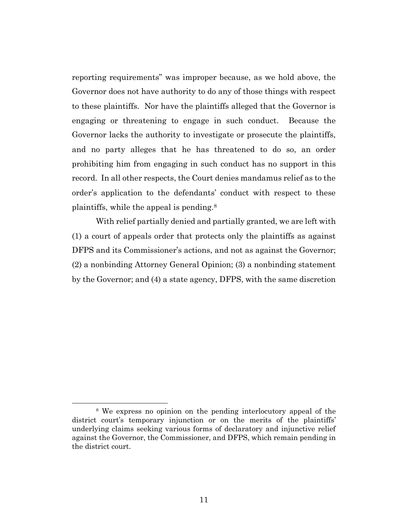reporting requirements" was improper because, as we hold above, the Governor does not have authority to do any of those things with respect to these plaintiffs. Nor have the plaintiffs alleged that the Governor is engaging or threatening to engage in such conduct. Because the Governor lacks the authority to investigate or prosecute the plaintiffs, and no party alleges that he has threatened to do so, an order prohibiting him from engaging in such conduct has no support in this record. In all other respects, the Court denies mandamus relief as to the order's application to the defendants' conduct with respect to these plaintiffs, while the appeal is pending.<sup>8</sup>

With relief partially denied and partially granted, we are left with (1) a court of appeals order that protects only the plaintiffs as against DFPS and its Commissioner's actions, and not as against the Governor; (2) a nonbinding Attorney General Opinion; (3) a nonbinding statement by the Governor; and (4) a state agency, DFPS, with the same discretion

<sup>8</sup> We express no opinion on the pending interlocutory appeal of the district court's temporary injunction or on the merits of the plaintiffs' underlying claims seeking various forms of declaratory and injunctive relief against the Governor, the Commissioner, and DFPS, which remain pending in the district court.